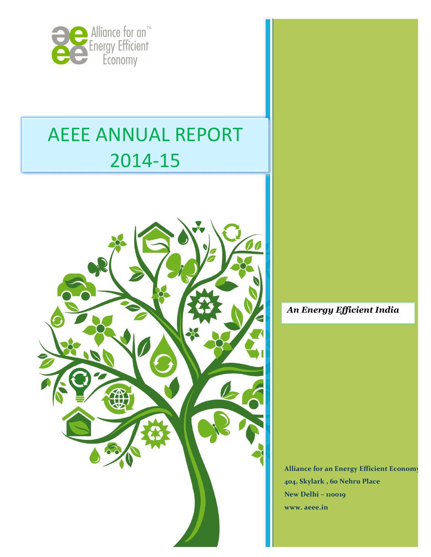

# **AEEE ANNUAL REPORT** 2014-15



*An Energy Efficient India*

Alliance for an Energy Efficient Economy 404, Skylark , 60 Nehru Place New Delhi - **110019 www. aeee.in**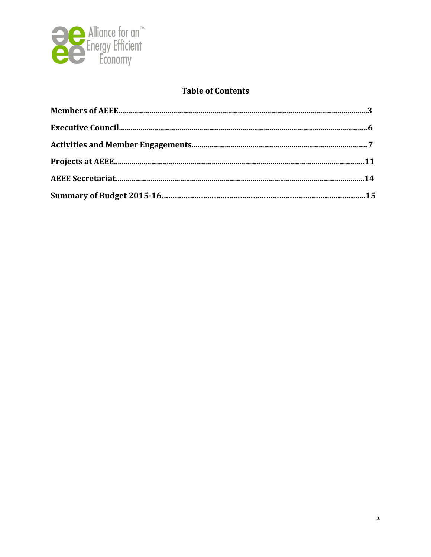

## **Table of Contents**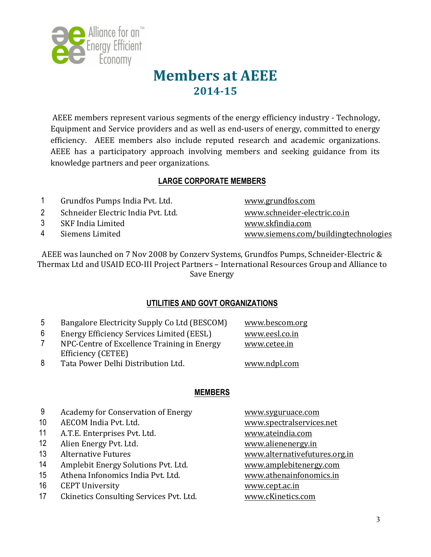

## **Members at AEEE 2014-15**

AEEE members represent various segments of the energy efficiency industry - Technology, Equipment and Service providers and as well as end-users of energy, committed to energy efficiency. AEEE members also include reputed research and academic organizations. AEEE has a participatory approach involving members and seeking guidance from its knowledge partners and peer organizations.

## **LARGE CORPORATE MEMBERS**

- 1 Grundfos Pumps India Pvt. Ltd. www.grundfos.com
- 2 Schneider Electric India Pvt. Ltd. www.schneider-electric.co.in
- 3 SKF India Limited www.skfindia.com
- 

4 Siemens Limited www.siemens.com/buildingtechnologies

AEEE was launched on 7 Nov 2008 by Conzery Systems, Grundfos Pumps, Schneider-Electric & Thermax Ltd and USAID ECO-III Project Partners – International Resources Group and Alliance to Save Energy

## **UTILITIES AND GOVT ORGANIZATIONS**

- 5 Bangalore Electricity Supply Co Ltd (BESCOM) www.bescom.org
- 6 Energy Efficiency Services Limited (EESL) www.eesl.co.in
- 7 NPC-Centre of Excellence Training in Energy Efficiency (CETEE)

www.cetee.in

8 Tata Power Delhi Distribution Ltd. www.ndpl.com

## **MEMBERS**

- 9 Academy for Conservation of Energy www.syguruace.com
- 10 AECOM India Pvt. Ltd. www.spectralservices.net
- 11 A.T.E. Enterprises Pvt. Ltd. www.ateindia.com
- 12 Alien Energy Pvt. Ltd. www.alienenergy.in
- 
- 14 Amplebit Energy Solutions Pvt. Ltd. www.amplebitenergy.com
- 15 Athena Infonomics India Pvt. Ltd. www.athenainfonomics.in
- 16 CEPT University **Example 20** and the state www.cept.ac.in
- 17 Ckinetics Consulting Services Pvt. Ltd. www.cKinetics.com

13 Alternative Futures metal www.alternativefutures.org.in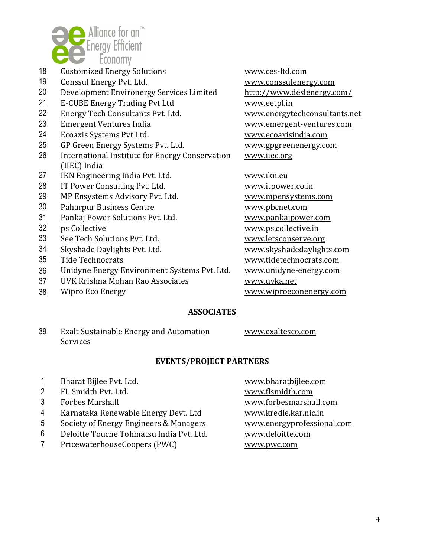

- 18 Customized Energy Solutions The Music Communications www.ces-ltd.com
- 19 Conssul Energy Pvt. Ltd. www.conssulenergy.com
- 20 Development Environergy Services Limited http://www.deslenergy.com/
- 21 E-CUBE Energy Trading Pvt Ltd www.eetpl.in
- 22 Energy Tech Consultants Pvt. Ltd. www.energytechconsultants.net
- 23 Emergent Ventures India **Exercise 23** Www.emergent-ventures.com
- 24 Ecoaxis Systems Pvt Ltd. www.ecoaxisindia.com
- 25 GP Green Energy Systems Pvt. Ltd. www.gpgreenenergy.com
- 26 International Institute for Energy Conservation (IIEC) India
- 27 IKN Engineering India Pvt. Ltd. www.ikn.eu
- 28 IT Power Consulting Pvt. Ltd. www.itpower.co.in
- 29 MP Ensystems Advisory Pvt. Ltd. www.mpensystems.com
- 30 Paharpur Business Centre **Example 20 Finance WWW.pbcnet.com**
- 31 Pankaj Power Solutions Pvt. Ltd. www.pankajpower.com
- 
- 33 See Tech Solutions Pvt. Ltd. www.letsconserve.org
- 
- 
- 36 Unidyne Energy Environment Systems Pvt. Ltd. www.unidyne-energy.com
- 37 UVK Rrishna Mohan Rao Associates **WWW.uvka.net**
- 

www.iiec.org

32 ps Collective www.ps.collective.in 34 Skyshade Daylights Pvt. Ltd. www.skyshadedaylights.com 35 Tide Technocrats **and Struth and Struth and Struth and Technocrats.com** 38 Wipro Eco Energy **Windows** WWW.wiproeconenergy.com

#### **ASSOCIATES**

39 Exalt Sustainable Energy and Automation **Services** 

www.exaltesco.com

#### **EVENTS/PROJECT PARTNERS**

- 1 Bharat Bijlee Pvt. Ltd. www.bharatbijlee.com
- 2 FL Smidth Pvt. Ltd. www.flsmidth.com
- 
- 4 Karnataka Renewable Energy Devt. Ltd www.kredle.kar.nic.in
- 5 Society of Energy Engineers & Managers www.energyprofessional.com
- 6 Deloitte Touche Tohmatsu India Pvt. Ltd. www.deloitte.com
- 7 PricewaterhouseCoopers (PWC) www.pwc.com

3 Forbes Marshall **3** Forbes Marshall **WE** Forbesman WWW.forbesmarshall.com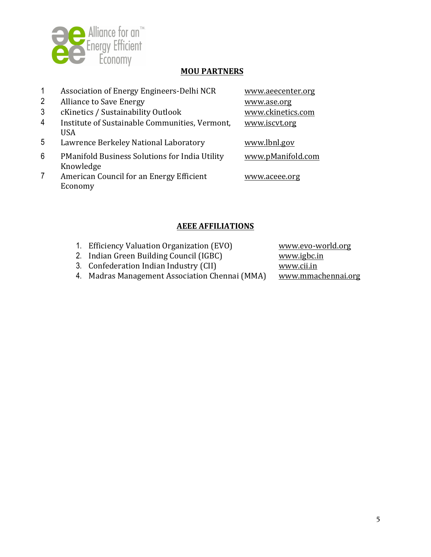

#### **MOU PARTNERS**

|   | Association of Energy Engineers-Delhi NCR             | www.aeecenter.org |
|---|-------------------------------------------------------|-------------------|
| 2 | <b>Alliance to Save Energy</b>                        | www.ase.org       |
| 3 | cKinetics / Sustainability Outlook                    | www.ckinetics.com |
| 4 | Institute of Sustainable Communities, Vermont,        | www.iscvt.org     |
|   | <b>USA</b>                                            |                   |
| 5 | Lawrence Berkeley National Laboratory                 | www.lbnl.gov      |
| 6 | <b>PManifold Business Solutions for India Utility</b> | www.pManifold.com |
|   | Knowledge                                             |                   |
|   | American Council for an Energy Efficient              | www.aceee.org     |
|   | Economy                                               |                   |
|   |                                                       |                   |

## **AEEE AFFILIATIONS**

- 1. Efficiency Valuation Organization (EVO) www.evo-world.org
- 2. Indian Green Building Council (IGBC) www.igbc.in
- 

3. Confederation Indian Industry (CII)<br>
4. Madras Management Association Chennai (MMA) www.mmachennai.org 4. Madras Management Association Chennai (MMA)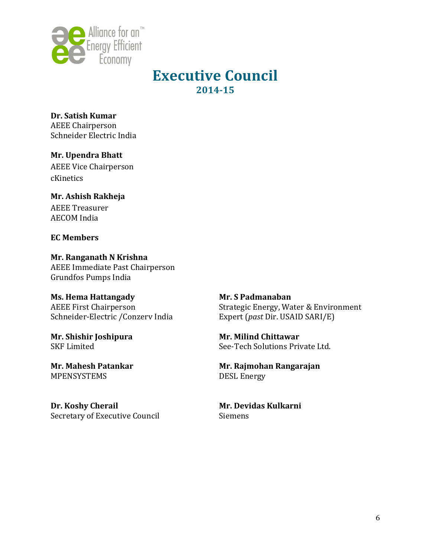

## **Executive Council 2014-15**

**Dr. Satish Kumar**  AEEE Chairperson Schneider Electric India

**Mr. Upendra Bhatt** AEEE Vice Chairperson cKinetics

**Mr. Ashish Rakheja** AEEE Treasurer **AECOM** India

#### **EC Members**

**Mr. Ranganath N Krishna**  AEEE Immediate Past Chairperson Grundfos Pumps India

## **Ms. Hema Hattangady**

AEEE First Chairperson Schneider-Electric /Conzerv India

**Mr. Shishir Joshipura** SKF Limited

**Mr. Mahesh Patankar** MPENSYSTEMS

Dr. **Koshy Cherail** Secretary of Executive Council **Mr. S Padmanaban** Strategic Energy, Water & Environment Expert (*past* Dir. USAID SARI/E)

**Mr. Milind Chittawar** See-Tech Solutions Private Ltd.

**Mr. Rajmohan Rangarajan** DESL Energy

**Mr. Devidas Kulkarni** Siemens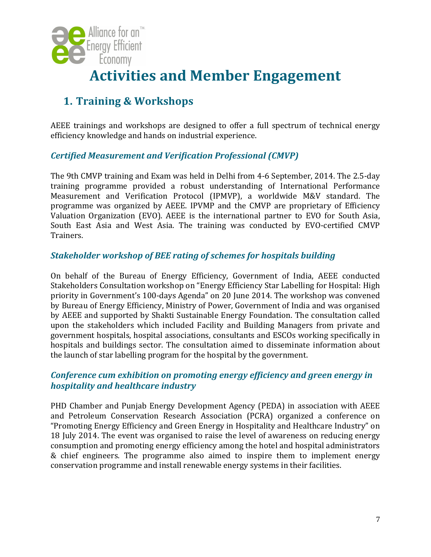

## **Activities and Member Engagement**

## **1. Training & Workshops**

AEEE trainings and workshops are designed to offer a full spectrum of technical energy efficiency knowledge and hands on industrial experience.

## *Certified Measurement and Verification Professional (CMVP)*

The 9th CMVP training and Exam was held in Delhi from 4-6 September, 2014. The 2.5-day training programme provided a robust understanding of International Performance Measurement and Verification Protocol (IPMVP), a worldwide M&V standard. The programme was organized by AEEE. IPVMP and the CMVP are proprietary of Efficiency Valuation Organization (EVO). AEEE is the international partner to EVO for South Asia, South East Asia and West Asia. The training was conducted by EVO-certified CMVP Trainers.

## **Stakeholder workshop of BEE rating of schemes for hospitals building**

On behalf of the Bureau of Energy Efficiency, Government of India, AEEE conducted Stakeholders Consultation workshop on "Energy Efficiency Star Labelling for Hospital: High priority in Government's 100-days Agenda" on 20 June 2014. The workshop was convened by Bureau of Energy Efficiency, Ministry of Power, Government of India and was organised by AEEE and supported by Shakti Sustainable Energy Foundation. The consultation called upon the stakeholders which included Facility and Building Managers from private and government hospitals, hospital associations, consultants and ESCOs working specifically in hospitals and buildings sector. The consultation aimed to disseminate information about the launch of star labelling program for the hospital by the government.

## *Conference cum exhibition on promoting energy efficiency and green energy in hospitality and healthcare industry*

PHD Chamber and Punjab Energy Development Agency (PEDA) in association with AEEE and Petroleum Conservation Research Association (PCRA) organized a conference on "Promoting Energy Efficiency and Green Energy in Hospitality and Healthcare Industry" on 18 July 2014. The event was organised to raise the level of awareness on reducing energy consumption and promoting energy efficiency among the hotel and hospital administrators & chief engineers. The programme also aimed to inspire them to implement energy conservation programme and install renewable energy systems in their facilities.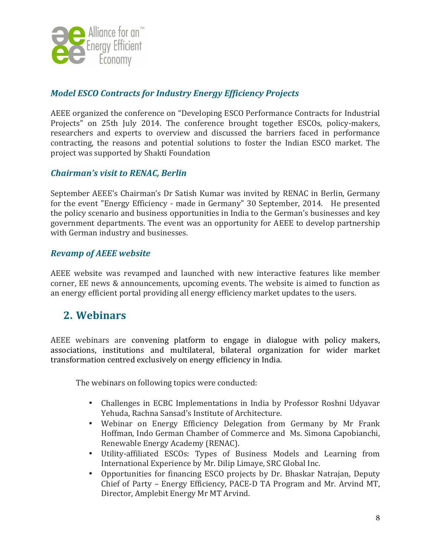

## *Model ESCO Contracts for Industry Energy Efficiency Projects*

AEEE organized the conference on "Developing ESCO Performance Contracts for Industrial Projects" on 25th July 2014. The conference brought together ESCOs, policy-makers, researchers and experts to overview and discussed the barriers faced in performance contracting, the reasons and potential solutions to foster the Indian ESCO market. The project was supported by Shakti Foundation

## *Chairman's visit to RENAC, Berlin*

September AEEE's Chairman's Dr Satish Kumar was invited by RENAC in Berlin, Germany for the event "Energy Efficiency - made in Germany" 30 September, 2014. He presented the policy scenario and business opportunities in India to the German's businesses and key government departments. The event was an opportunity for AEEE to develop partnership with German industry and businesses.

## *Revamp of AEEE website*

AEEE website was revamped and launched with new interactive features like member corner, EE news & announcements, upcoming events. The website is aimed to function as an energy efficient portal providing all energy efficiency market updates to the users.

## **2. Webinars**

AEEE webinars are convening platform to engage in dialogue with policy makers, associations, institutions and multilateral, bilateral organization for wider market transformation centred exclusively on energy efficiency in India.

The webinars on following topics were conducted:

- Challenges in ECBC Implementations in India by Professor Roshni Udyavar Yehuda, Rachna Sansad's Institute of Architecture.
- Webinar on Energy Efficiency Delegation from Germany by Mr Frank Hoffman, Indo German Chamber of Commerce and Ms. Simona Capobianchi, Renewable Energy Academy (RENAC).
- Utility-affiliated ESCOs: Types of Business Models and Learning from International Experience by Mr. Dilip Limaye, SRC Global Inc.
- Opportunities for financing ESCO projects by Dr. Bhaskar Natrajan, Deputy Chief of Party – Energy Efficiency, PACE-D TA Program and Mr. Arvind MT, Director, Amplebit Energy Mr MT Arvind.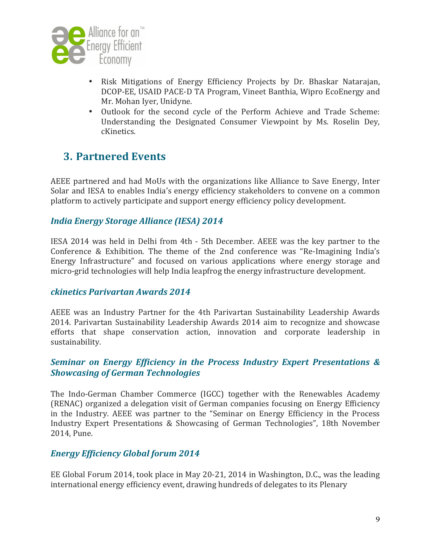

- Risk Mitigations of Energy Efficiency Projects by Dr. Bhaskar Natarajan, DCOP-EE, USAID PACE-D TA Program, Vineet Banthia, Wipro EcoEnergy and Mr. Mohan Iyer, Unidyne.
- Outlook for the second cycle of the Perform Achieve and Trade Scheme: Understanding the Designated Consumer Viewpoint by Ms. Roselin Dey, cKinetics.

## **3. Partnered Events**

AEEE partnered and had MoUs with the organizations like Alliance to Save Energy, Inter Solar and IESA to enables India's energy efficiency stakeholders to convene on a common platform to actively participate and support energy efficiency policy development.

## *India Energy Storage Alliance (IESA) 2014*

IESA 2014 was held in Delhi from 4th - 5th December. AEEE was the key partner to the Conference & Exhibition. The theme of the 2nd conference was "Re-Imagining India's Energy Infrastructure" and focused on various applications where energy storage and micro-grid technologies will help India leapfrog the energy infrastructure development.

#### *ckinetics Parivartan Awards 2014*

AEEE was an Industry Partner for the 4th Parivartan Sustainability Leadership Awards 2014. Parivartan Sustainability Leadership Awards 2014 aim to recognize and showcase efforts that shape conservation action, innovation and corporate leadership in sustainability.

## **Seminar on Energy Efficiency in the Process Industry Expert Presentations & Showcasing of German Technologies**

The Indo-German Chamber Commerce (IGCC) together with the Renewables Academy (RENAC) organized a delegation visit of German companies focusing on Energy Efficiency in the Industry. AEEE was partner to the "Seminar on Energy Efficiency in the Process Industry Expert Presentations & Showcasing of German Technologies", 18th November 2014, Pune.

## *Energy Efficiency Global forum 2014*

EE Global Forum 2014, took place in May 20-21, 2014 in Washington, D.C., was the leading international energy efficiency event, drawing hundreds of delegates to its Plenary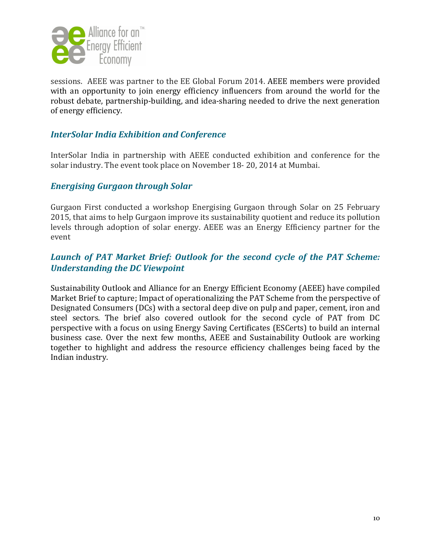

sessions. AEEE was partner to the EE Global Forum 2014. AEEE members were provided with an opportunity to join energy efficiency influencers from around the world for the robust debate, partnership-building, and idea-sharing needed to drive the next generation of energy efficiency.

## **InterSolar India Exhibition and Conference**

InterSolar India in partnership with AEEE conducted exhibition and conference for the solar industry. The event took place on November 18- 20, 2014 at Mumbai.

#### *Energising Gurgaon through Solar*

Gurgaon First conducted a workshop Energising Gurgaon through Solar on 25 February 2015, that aims to help Gurgaon improve its sustainability quotient and reduce its pollution levels through adoption of solar energy. AEEE was an Energy Efficiency partner for the event

## Launch of PAT Market Brief: Outlook for the second cycle of the PAT Scheme: *Understanding the DC Viewpoint*

Sustainability Outlook and Alliance for an Energy Efficient Economy (AEEE) have compiled Market Brief to capture; Impact of operationalizing the PAT Scheme from the perspective of Designated Consumers (DCs) with a sectoral deep dive on pulp and paper, cement, iron and steel sectors. The brief also covered outlook for the second cycle of PAT from DC perspective with a focus on using Energy Saving Certificates (ESCerts) to build an internal business case. Over the next few months, AEEE and Sustainability Outlook are working together to highlight and address the resource efficiency challenges being faced by the Indian industry.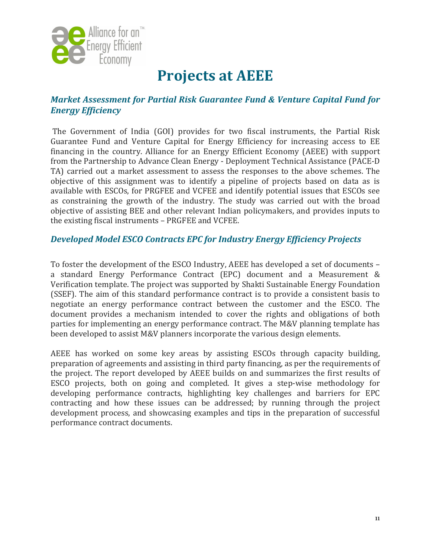

## **Projects at AEEE**

## *Market Assessment for Partial Risk Guarantee Fund & Venture Capital Fund for Energy Efficiency*

The Government of India (GOI) provides for two fiscal instruments, the Partial Risk Guarantee Fund and Venture Capital for Energy Efficiency for increasing access to EE financing in the country. Alliance for an Energy Efficient Economy (AEEE) with support from the Partnership to Advance Clean Energy - Deployment Technical Assistance (PACE-D TA) carried out a market assessment to assess the responses to the above schemes. The objective of this assignment was to identify a pipeline of projects based on data as is available with ESCOs, for PRGFEE and VCFEE and identify potential issues that ESCOs see as constraining the growth of the industry. The study was carried out with the broad objective of assisting BEE and other relevant Indian policymakers, and provides inputs to the existing fiscal instruments - PRGFEE and VCFEE.

## **Developed Model ESCO Contracts EPC for Industry Energy Efficiency Projects**

To foster the development of the ESCO Industry, AEEE has developed a set of documents a standard Energy Performance Contract (EPC) document and a Measurement & Verification template. The project was supported by Shakti Sustainable Energy Foundation (SSEF). The aim of this standard performance contract is to provide a consistent basis to negotiate an energy performance contract between the customer and the ESCO. The document provides a mechanism intended to cover the rights and obligations of both parties for implementing an energy performance contract. The M&V planning template has been developed to assist M&V planners incorporate the various design elements.

AEEE has worked on some key areas by assisting ESCOs through capacity building, preparation of agreements and assisting in third party financing, as per the requirements of the project. The report developed by AEEE builds on and summarizes the first results of ESCO projects, both on going and completed. It gives a step-wise methodology for developing performance contracts, highlighting key challenges and barriers for EPC contracting and how these issues can be addressed; by running through the project development process, and showcasing examples and tips in the preparation of successful performance contract documents.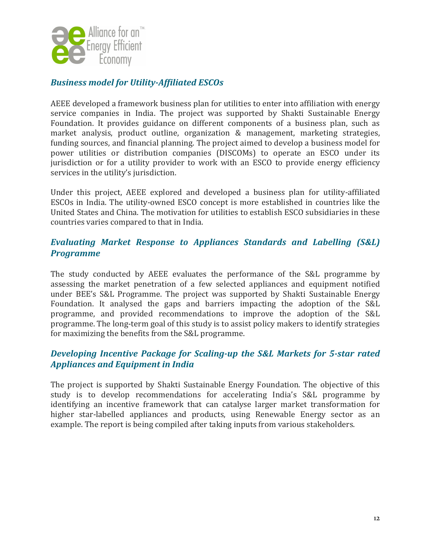

## **Business model for Utility-Affiliated ESCOs**

AEEE developed a framework business plan for utilities to enter into affiliation with energy service companies in India. The project was supported by Shakti Sustainable Energy Foundation. It provides guidance on different components of a business plan, such as market analysis, product outline, organization  $\&$  management, marketing strategies, funding sources, and financial planning. The project aimed to develop a business model for power utilities or distribution companies (DISCOMs) to operate an ESCO under its jurisdiction or for a utility provider to work with an ESCO to provide energy efficiency services in the utility's jurisdiction.

Under this project, AEEE explored and developed a business plan for utility-affiliated ESCOs in India. The utility-owned ESCO concept is more established in countries like the United States and China. The motivation for utilities to establish ESCO subsidiaries in these countries varies compared to that in India.

## *Evaluating Market Response to Appliances Standards and Labelling (S&L) Programme*

The study conducted by AEEE evaluates the performance of the S&L programme by assessing the market penetration of a few selected appliances and equipment notified under BEE's S&L Programme. The project was supported by Shakti Sustainable Energy Foundation. It analysed the gaps and barriers impacting the adoption of the S&L programme, and provided recommendations to improve the adoption of the S&L programme. The long-term goal of this study is to assist policy makers to identify strategies for maximizing the benefits from the S&L programme.

## **Developing Incentive Package for Scaling-up the S&L Markets for 5-star rated** *Appliances and Equipment in India*

The project is supported by Shakti Sustainable Energy Foundation. The objective of this study is to develop recommendations for accelerating India's S&L programme by identifying an incentive framework that can catalyse larger market transformation for higher star-labelled appliances and products, using Renewable Energy sector as an example. The report is being compiled after taking inputs from various stakeholders.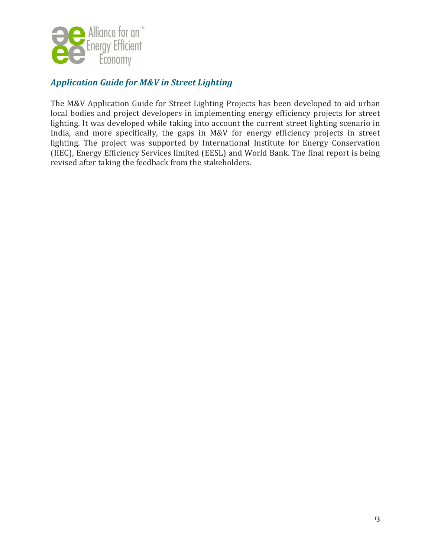

## *Application Guide for M&V in Street Lighting*

The M&V Application Guide for Street Lighting Projects has been developed to aid urban local bodies and project developers in implementing energy efficiency projects for street lighting. It was developed while taking into account the current street lighting scenario in India, and more specifically, the gaps in M&V for energy efficiency projects in street lighting. The project was supported by International Institute for Energy Conservation (IIEC), Energy Efficiency Services limited (EESL) and World Bank. The final report is being revised after taking the feedback from the stakeholders.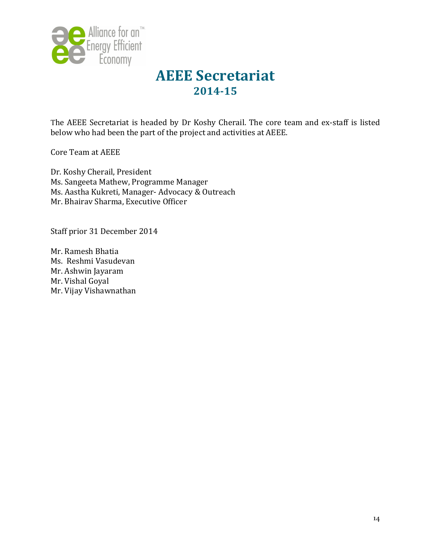

## **AEEE Secretariat 2014-15**

The AEEE Secretariat is headed by Dr Koshy Cherail. The core team and ex-staff is listed below who had been the part of the project and activities at AEEE.

Core Team at AEEE

Dr. Koshy Cherail, President Ms. Sangeeta Mathew, Programme Manager Ms. Aastha Kukreti, Manager- Advocacy & Outreach Mr. Bhairav Sharma, Executive Officer

Staff prior 31 December 2014

Mr. Ramesh Bhatia Ms. Reshmi Vasudevan Mr. Ashwin Jayaram Mr. Vishal Goyal Mr. Vijay Vishawnathan